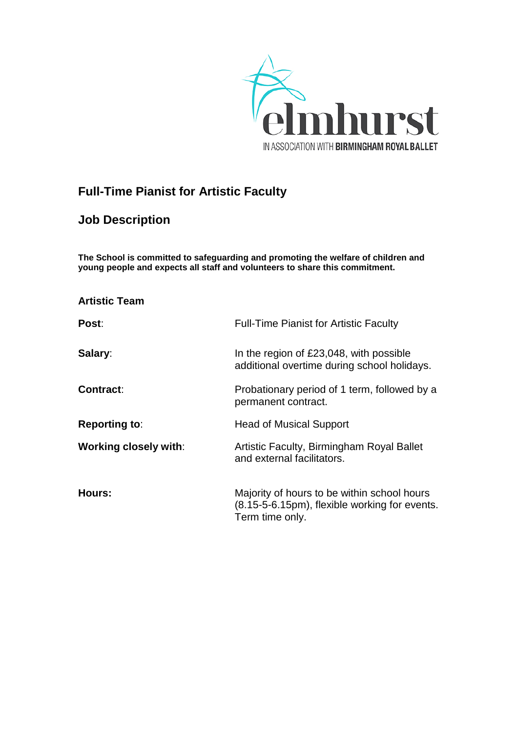

# **Full-Time Pianist for Artistic Faculty**

## **Job Description**

**The School is committed to safeguarding and promoting the welfare of children and young people and expects all staff and volunteers to share this commitment.**

| <b>Artistic Team</b>         |                                                                                                                 |
|------------------------------|-----------------------------------------------------------------------------------------------------------------|
| Post:                        | <b>Full-Time Pianist for Artistic Faculty</b>                                                                   |
| Salary:                      | In the region of £23,048, with possible<br>additional overtime during school holidays.                          |
| <b>Contract:</b>             | Probationary period of 1 term, followed by a<br>permanent contract.                                             |
| <b>Reporting to:</b>         | <b>Head of Musical Support</b>                                                                                  |
| <b>Working closely with:</b> | Artistic Faculty, Birmingham Royal Ballet<br>and external facilitators.                                         |
| Hours:                       | Majority of hours to be within school hours<br>(8.15-5-6.15pm), flexible working for events.<br>Term time only. |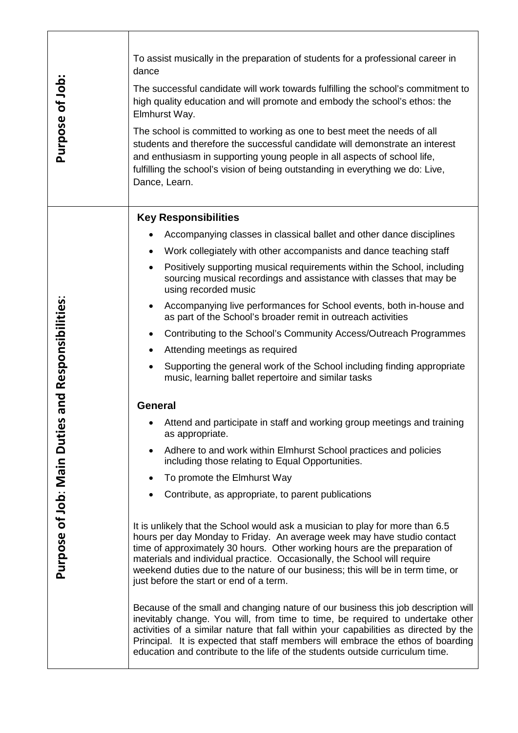| Purpose of Job:                   | To assist musically in the preparation of students for a professional career in<br>dance<br>The successful candidate will work towards fulfilling the school's commitment to<br>high quality education and will promote and embody the school's ethos: the<br>Elmhurst Way.<br>The school is committed to working as one to best meet the needs of all<br>students and therefore the successful candidate will demonstrate an interest<br>and enthusiasm in supporting young people in all aspects of school life,<br>fulfilling the school's vision of being outstanding in everything we do: Live,<br>Dance, Learn. |  |  |
|-----------------------------------|-----------------------------------------------------------------------------------------------------------------------------------------------------------------------------------------------------------------------------------------------------------------------------------------------------------------------------------------------------------------------------------------------------------------------------------------------------------------------------------------------------------------------------------------------------------------------------------------------------------------------|--|--|
|                                   | <b>Key Responsibilities</b><br>Accompanying classes in classical ballet and other dance disciplines                                                                                                                                                                                                                                                                                                                                                                                                                                                                                                                   |  |  |
|                                   | Work collegiately with other accompanists and dance teaching staff<br>$\bullet$<br>Positively supporting musical requirements within the School, including<br>$\bullet$<br>sourcing musical recordings and assistance with classes that may be<br>using recorded music                                                                                                                                                                                                                                                                                                                                                |  |  |
|                                   | Accompanying live performances for School events, both in-house and<br>as part of the School's broader remit in outreach activities                                                                                                                                                                                                                                                                                                                                                                                                                                                                                   |  |  |
|                                   | Contributing to the School's Community Access/Outreach Programmes                                                                                                                                                                                                                                                                                                                                                                                                                                                                                                                                                     |  |  |
|                                   | Attending meetings as required<br>$\bullet$                                                                                                                                                                                                                                                                                                                                                                                                                                                                                                                                                                           |  |  |
| and Responsibilities:             | Supporting the general work of the School including finding appropriate<br>$\bullet$<br>music, learning ballet repertoire and similar tasks                                                                                                                                                                                                                                                                                                                                                                                                                                                                           |  |  |
|                                   | <b>General</b>                                                                                                                                                                                                                                                                                                                                                                                                                                                                                                                                                                                                        |  |  |
| n                                 | Attend and participate in staff and working group meetings and training<br>as appropriate.                                                                                                                                                                                                                                                                                                                                                                                                                                                                                                                            |  |  |
|                                   | Adhere to and work within Elmhurst School practices and policies<br>$\bullet$<br>including those relating to Equal Opportunities.                                                                                                                                                                                                                                                                                                                                                                                                                                                                                     |  |  |
|                                   | To promote the Elmhurst Way<br>$\bullet$                                                                                                                                                                                                                                                                                                                                                                                                                                                                                                                                                                              |  |  |
|                                   | Contribute, as appropriate, to parent publications                                                                                                                                                                                                                                                                                                                                                                                                                                                                                                                                                                    |  |  |
| <b>Purpose of Job: Main Dutie</b> | It is unlikely that the School would ask a musician to play for more than 6.5<br>hours per day Monday to Friday. An average week may have studio contact<br>time of approximately 30 hours. Other working hours are the preparation of<br>materials and individual practice. Occasionally, the School will require<br>weekend duties due to the nature of our business; this will be in term time, or<br>just before the start or end of a term.                                                                                                                                                                      |  |  |
|                                   | Because of the small and changing nature of our business this job description will<br>inevitably change. You will, from time to time, be required to undertake other<br>activities of a similar nature that fall within your capabilities as directed by the<br>Principal. It is expected that staff members will embrace the ethos of boarding<br>education and contribute to the life of the students outside curriculum time.                                                                                                                                                                                      |  |  |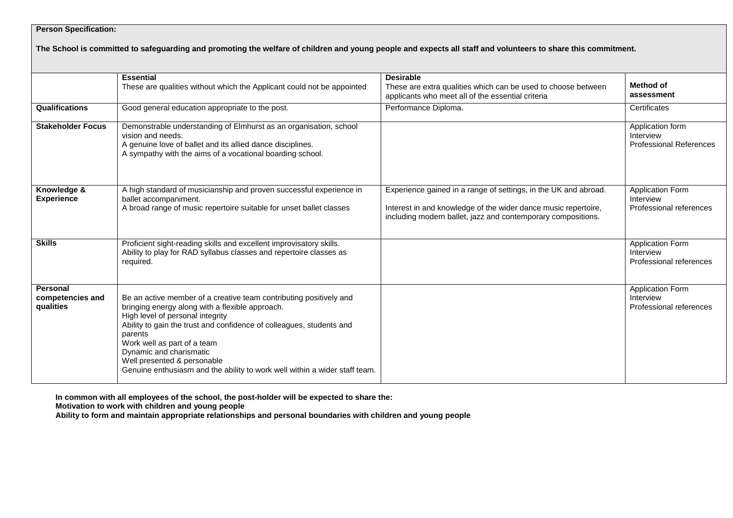### **Person Specification:**

#### **The School is committed to safeguarding and promoting the welfare of children and young people and expects all staff and volunteers to share this commitment.**

|                                           | <b>Essential</b>                                                                                                                                                                                                                                                                                                                                                                                                    | <b>Desirable</b>                                                                                                                                                                                  |                                                                 |
|-------------------------------------------|---------------------------------------------------------------------------------------------------------------------------------------------------------------------------------------------------------------------------------------------------------------------------------------------------------------------------------------------------------------------------------------------------------------------|---------------------------------------------------------------------------------------------------------------------------------------------------------------------------------------------------|-----------------------------------------------------------------|
|                                           | These are qualities without which the Applicant could not be appointed                                                                                                                                                                                                                                                                                                                                              | These are extra qualities which can be used to choose between<br>applicants who meet all of the essential criteria                                                                                | Method of<br>assessment                                         |
| Qualifications                            | Good general education appropriate to the post.                                                                                                                                                                                                                                                                                                                                                                     | Performance Diploma.                                                                                                                                                                              | Certificates                                                    |
| <b>Stakeholder Focus</b>                  | Demonstrable understanding of Elmhurst as an organisation, school<br>vision and needs.<br>A genuine love of ballet and its allied dance disciplines.<br>A sympathy with the aims of a vocational boarding school.                                                                                                                                                                                                   |                                                                                                                                                                                                   | Application form<br>Interview<br><b>Professional References</b> |
| Knowledge &<br><b>Experience</b>          | A high standard of musicianship and proven successful experience in<br>ballet accompaniment.<br>A broad range of music repertoire suitable for unset ballet classes                                                                                                                                                                                                                                                 | Experience gained in a range of settings, in the UK and abroad.<br>Interest in and knowledge of the wider dance music repertoire,<br>including modern ballet, jazz and contemporary compositions. | <b>Application Form</b><br>Interview<br>Professional references |
| <b>Skills</b>                             | Proficient sight-reading skills and excellent improvisatory skills.<br>Ability to play for RAD syllabus classes and repertoire classes as<br>required.                                                                                                                                                                                                                                                              |                                                                                                                                                                                                   | <b>Application Form</b><br>Interview<br>Professional references |
| Personal<br>competencies and<br>qualities | Be an active member of a creative team contributing positively and<br>bringing energy along with a flexible approach.<br>High level of personal integrity<br>Ability to gain the trust and confidence of colleagues, students and<br>parents<br>Work well as part of a team<br>Dynamic and charismatic<br>Well presented & personable<br>Genuine enthusiasm and the ability to work well within a wider staff team. |                                                                                                                                                                                                   | <b>Application Form</b><br>Interview<br>Professional references |

**In common with all employees of the school, the post-holder will be expected to share the:**

**Motivation to work with children and young people**

**Ability to form and maintain appropriate relationships and personal boundaries with children and young people**